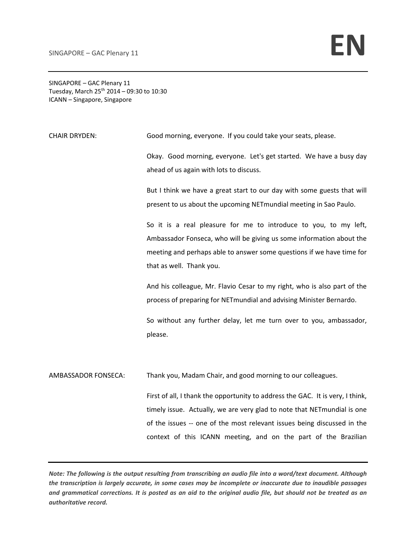SINGAPORE – GAC Plenary 11 Tuesday, March  $25^{th}$  2014 – 09:30 to 10:30 ICANN – Singapore, Singapore

CHAIR DRYDEN: Good morning, everyone. If you could take your seats, please.

Okay. Good morning, everyone. Let's get started. We have a busy day ahead of us again with lots to discuss.

But I think we have a great start to our day with some guests that will present to us about the upcoming NETmundial meeting in Sao Paulo.

So it is a real pleasure for me to introduce to you, to my left, Ambassador Fonseca, who will be giving us some information about the meeting and perhaps able to answer some questions if we have time for that as well. Thank you.

And his colleague, Mr. Flavio Cesar to my right, who is also part of the process of preparing for NETmundial and advising Minister Bernardo.

So without any further delay, let me turn over to you, ambassador, please.

AMBASSADOR FONSECA: Thank you, Madam Chair, and good morning to our colleagues.

First of all, I thank the opportunity to address the GAC. It is very, I think, timely issue. Actually, we are very glad to note that NETmundial is one of the issues -- one of the most relevant issues being discussed in the context of this ICANN meeting, and on the part of the Brazilian

Note: The following is the output resulting from transcribing an audio file into a word/text document. Although the transcription is largely accurate, in some cases may be incomplete or inaccurate due to inaudible passages and grammatical corrections. It is posted as an aid to the original audio file, but should not be treated as an *authoritative record.*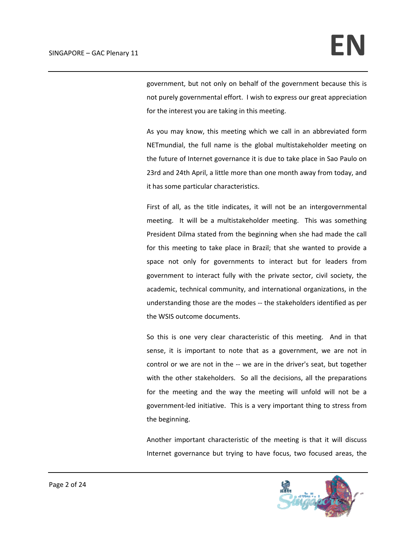government, but not only on behalf of the government because this is not purely governmental effort. I wish to express our great appreciation for the interest you are taking in this meeting.

As you may know, this meeting which we call in an abbreviated form NETmundial, the full name is the global multistakeholder meeting on the future of Internet governance it is due to take place in Sao Paulo on 23rd and 24th April, a little more than one month away from today, and it has some particular characteristics.

First of all, as the title indicates, it will not be an intergovernmental meeting. It will be a multistakeholder meeting. This was something President Dilma stated from the beginning when she had made the call for this meeting to take place in Brazil; that she wanted to provide a space not only for governments to interact but for leaders from government to interact fully with the private sector, civil society, the academic, technical community, and international organizations, in the understanding those are the modes ‐‐ the stakeholders identified as per the WSIS outcome documents.

So this is one very clear characteristic of this meeting. And in that sense, it is important to note that as a government, we are not in control or we are not in the ‐‐ we are in the driver's seat, but together with the other stakeholders. So all the decisions, all the preparations for the meeting and the way the meeting will unfold will not be a government‐led initiative. This is a very important thing to stress from the beginning.

Another important characteristic of the meeting is that it will discuss Internet governance but trying to have focus, two focused areas, the

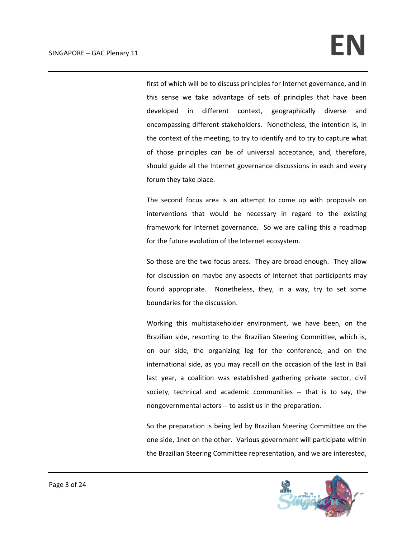first of which will be to discuss principles for Internet governance, and in this sense we take advantage of sets of principles that have been developed in different context, geographically diverse and encompassing different stakeholders. Nonetheless, the intention is, in the context of the meeting, to try to identify and to try to capture what of those principles can be of universal acceptance, and, therefore, should guide all the Internet governance discussions in each and every forum they take place.

The second focus area is an attempt to come up with proposals on interventions that would be necessary in regard to the existing framework for Internet governance. So we are calling this a roadmap for the future evolution of the Internet ecosystem.

So those are the two focus areas. They are broad enough. They allow for discussion on maybe any aspects of Internet that participants may found appropriate. Nonetheless, they, in a way, try to set some boundaries for the discussion.

Working this multistakeholder environment, we have been, on the Brazilian side, resorting to the Brazilian Steering Committee, which is, on our side, the organizing leg for the conference, and on the international side, as you may recall on the occasion of the last in Bali last year, a coalition was established gathering private sector, civil society, technical and academic communities -- that is to say, the nongovernmental actors ‐‐ to assist us in the preparation.

So the preparation is being led by Brazilian Steering Committee on the one side, 1net on the other. Various government will participate within the Brazilian Steering Committee representation, and we are interested,

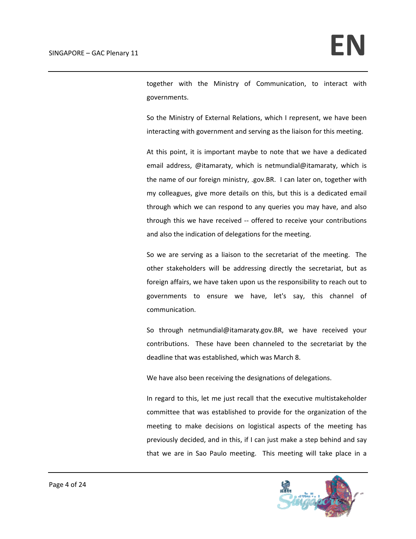together with the Ministry of Communication, to interact with governments.

So the Ministry of External Relations, which I represent, we have been interacting with government and serving as the liaison for this meeting.

At this point, it is important maybe to note that we have a dedicated email address, @itamaraty, which is netmundial@itamaraty, which is the name of our foreign ministry, .gov.BR. I can later on, together with my colleagues, give more details on this, but this is a dedicated email through which we can respond to any queries you may have, and also through this we have received ‐‐ offered to receive your contributions and also the indication of delegations for the meeting.

So we are serving as a liaison to the secretariat of the meeting. The other stakeholders will be addressing directly the secretariat, but as foreign affairs, we have taken upon us the responsibility to reach out to governments to ensure we have, let's say, this channel of communication.

So through netmundial@itamaraty.gov.BR, we have received your contributions. These have been channeled to the secretariat by the deadline that was established, which was March 8.

We have also been receiving the designations of delegations.

In regard to this, let me just recall that the executive multistakeholder committee that was established to provide for the organization of the meeting to make decisions on logistical aspects of the meeting has previously decided, and in this, if I can just make a step behind and say that we are in Sao Paulo meeting. This meeting will take place in a

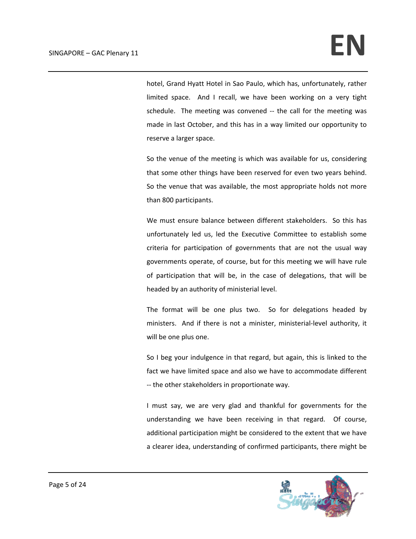hotel, Grand Hyatt Hotel in Sao Paulo, which has, unfortunately, rather limited space. And I recall, we have been working on a very tight schedule. The meeting was convened -- the call for the meeting was made in last October, and this has in a way limited our opportunity to reserve a larger space.

So the venue of the meeting is which was available for us, considering that some other things have been reserved for even two years behind. So the venue that was available, the most appropriate holds not more than 800 participants.

We must ensure balance between different stakeholders. So this has unfortunately led us, led the Executive Committee to establish some criteria for participation of governments that are not the usual way governments operate, of course, but for this meeting we will have rule of participation that will be, in the case of delegations, that will be headed by an authority of ministerial level.

The format will be one plus two. So for delegations headed by ministers. And if there is not a minister, ministerial‐level authority, it will be one plus one.

So I beg your indulgence in that regard, but again, this is linked to the fact we have limited space and also we have to accommodate different ‐‐ the other stakeholders in proportionate way.

I must say, we are very glad and thankful for governments for the understanding we have been receiving in that regard. Of course, additional participation might be considered to the extent that we have a clearer idea, understanding of confirmed participants, there might be

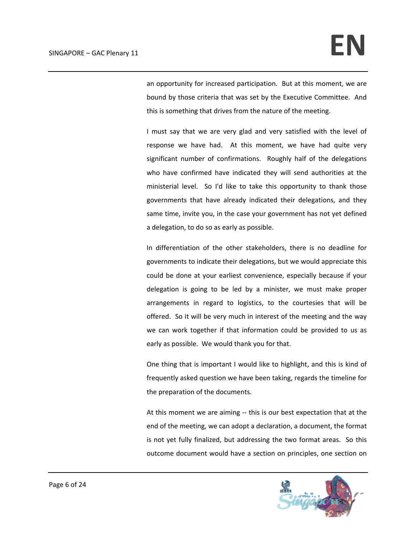an opportunity for increased participation. But at this moment, we are bound by those criteria that was set by the Executive Committee. And this is something that drives from the nature of the meeting.

I must say that we are very glad and very satisfied with the level of response we have had. At this moment, we have had quite very significant number of confirmations. Roughly half of the delegations who have confirmed have indicated they will send authorities at the ministerial level. So I'd like to take this opportunity to thank those governments that have already indicated their delegations, and they same time, invite you, in the case your government has not yet defined a delegation, to do so as early as possible.

In differentiation of the other stakeholders, there is no deadline for governments to indicate their delegations, but we would appreciate this could be done at your earliest convenience, especially because if your delegation is going to be led by a minister, we must make proper arrangements in regard to logistics, to the courtesies that will be offered. So it will be very much in interest of the meeting and the way we can work together if that information could be provided to us as early as possible. We would thank you for that.

One thing that is important I would like to highlight, and this is kind of frequently asked question we have been taking, regards the timeline for the preparation of the documents.

At this moment we are aiming ‐‐ this is our best expectation that at the end of the meeting, we can adopt a declaration, a document, the format is not yet fully finalized, but addressing the two format areas. So this outcome document would have a section on principles, one section on

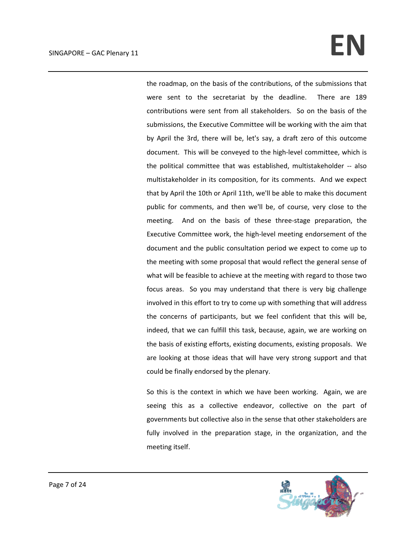## $SINGAPORE - GAC Plenary 11$

the roadmap, on the basis of the contributions, of the submissions that were sent to the secretariat by the deadline. There are 189 contributions were sent from all stakeholders. So on the basis of the submissions, the Executive Committee will be working with the aim that by April the 3rd, there will be, let's say, a draft zero of this outcome document. This will be conveyed to the high‐level committee, which is the political committee that was established, multistakeholder ‐‐ also multistakeholder in its composition, for its comments. And we expect that by April the 10th or April 11th, we'll be able to make this document public for comments, and then we'll be, of course, very close to the meeting. And on the basis of these three-stage preparation, the Executive Committee work, the high‐level meeting endorsement of the document and the public consultation period we expect to come up to the meeting with some proposal that would reflect the general sense of what will be feasible to achieve at the meeting with regard to those two focus areas. So you may understand that there is very big challenge involved in this effort to try to come up with something that will address the concerns of participants, but we feel confident that this will be, indeed, that we can fulfill this task, because, again, we are working on the basis of existing efforts, existing documents, existing proposals. We are looking at those ideas that will have very strong support and that could be finally endorsed by the plenary.

So this is the context in which we have been working. Again, we are seeing this as a collective endeavor, collective on the part of governments but collective also in the sense that other stakeholders are fully involved in the preparation stage, in the organization, and the meeting itself.

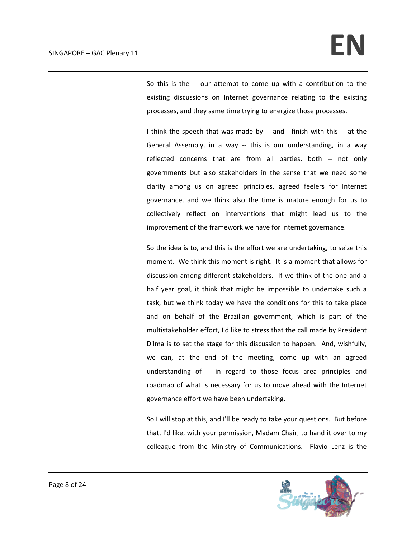So this is the -- our attempt to come up with a contribution to the existing discussions on Internet governance relating to the existing processes, and they same time trying to energize those processes.

I think the speech that was made by -- and I finish with this -- at the General Assembly, in a way -- this is our understanding, in a way reflected concerns that are from all parties, both ‐‐ not only governments but also stakeholders in the sense that we need some clarity among us on agreed principles, agreed feelers for Internet governance, and we think also the time is mature enough for us to collectively reflect on interventions that might lead us to the improvement of the framework we have for Internet governance.

So the idea is to, and this is the effort we are undertaking, to seize this moment. We think this moment is right. It is a moment that allows for discussion among different stakeholders. If we think of the one and a half year goal, it think that might be impossible to undertake such a task, but we think today we have the conditions for this to take place and on behalf of the Brazilian government, which is part of the multistakeholder effort, I'd like to stress that the call made by President Dilma is to set the stage for this discussion to happen. And, wishfully, we can, at the end of the meeting, come up with an agreed understanding of ‐‐ in regard to those focus area principles and roadmap of what is necessary for us to move ahead with the Internet governance effort we have been undertaking.

So I will stop at this, and I'll be ready to take your questions. But before that, I'd like, with your permission, Madam Chair, to hand it over to my colleague from the Ministry of Communications. Flavio Lenz is the

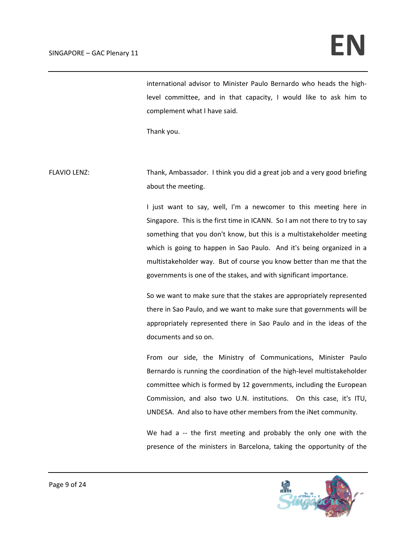international advisor to Minister Paulo Bernardo who heads the high‐ level committee, and in that capacity, I would like to ask him to complement what I have said.

Thank you.

FLAVIO LENZ: Thank, Ambassador. I think you did a great job and a very good briefing about the meeting.

> I just want to say, well, I'm a newcomer to this meeting here in Singapore. This is the first time in ICANN. So I am not there to try to say something that you don't know, but this is a multistakeholder meeting which is going to happen in Sao Paulo. And it's being organized in a multistakeholder way. But of course you know better than me that the governments is one of the stakes, and with significant importance.

> So we want to make sure that the stakes are appropriately represented there in Sao Paulo, and we want to make sure that governments will be appropriately represented there in Sao Paulo and in the ideas of the documents and so on.

> From our side, the Ministry of Communications, Minister Paulo Bernardo is running the coordination of the high‐level multistakeholder committee which is formed by 12 governments, including the European Commission, and also two U.N. institutions. On this case, it's ITU, UNDESA. And also to have other members from the iNet community.

> We had a -- the first meeting and probably the only one with the presence of the ministers in Barcelona, taking the opportunity of the

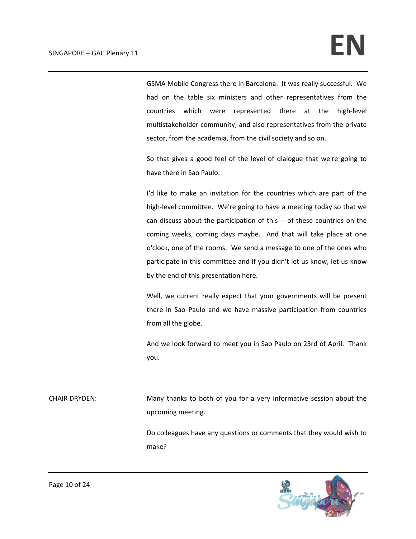GSMA Mobile Congress there in Barcelona. It was really successful. We had on the table six ministers and other representatives from the countries which were represented there at the high-level multistakeholder community, and also representatives from the private sector, from the academia, from the civil society and so on.

So that gives a good feel of the level of dialogue that we're going to have there in Sao Paulo.

I'd like to make an invitation for the countries which are part of the high-level committee. We're going to have a meeting today so that we can discuss about the participation of this ‐‐ of these countries on the coming weeks, coming days maybe. And that will take place at one o'clock, one of the rooms. We send a message to one of the ones who participate in this committee and if you didn't let us know, let us know by the end of this presentation here.

Well, we current really expect that your governments will be present there in Sao Paulo and we have massive participation from countries from all the globe.

And we look forward to meet you in Sao Paulo on 23rd of April. Thank you.

CHAIR DRYDEN: Many thanks to both of you for a very informative session about the upcoming meeting.

> Do colleagues have any questions or comments that they would wish to make?

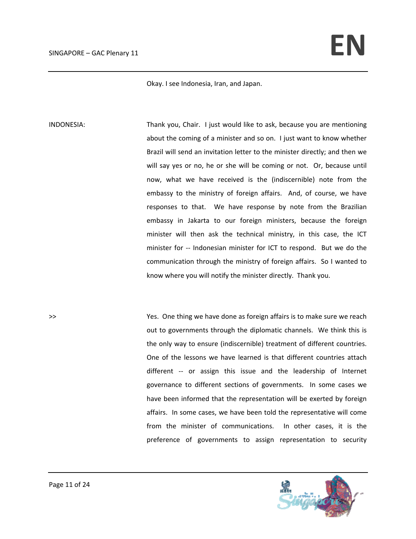Okay. I see Indonesia, Iran, and Japan.

INDONESIA: Thank you, Chair. I just would like to ask, because you are mentioning about the coming of a minister and so on. I just want to know whether Brazil will send an invitation letter to the minister directly; and then we will say yes or no, he or she will be coming or not. Or, because until now, what we have received is the (indiscernible) note from the embassy to the ministry of foreign affairs. And, of course, we have responses to that. We have response by note from the Brazilian embassy in Jakarta to our foreign ministers, because the foreign minister will then ask the technical ministry, in this case, the ICT minister for -- Indonesian minister for ICT to respond. But we do the communication through the ministry of foreign affairs. So I wanted to know where you will notify the minister directly. Thank you.

>> Yes. One thing we have done as foreign affairs is to make sure we reach out to governments through the diplomatic channels. We think this is the only way to ensure (indiscernible) treatment of different countries. One of the lessons we have learned is that different countries attach different -- or assign this issue and the leadership of Internet governance to different sections of governments. In some cases we have been informed that the representation will be exerted by foreign affairs. In some cases, we have been told the representative will come from the minister of communications. In other cases, it is the preference of governments to assign representation to security

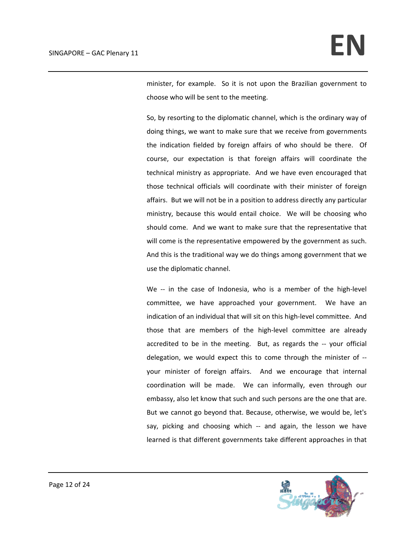minister, for example. So it is not upon the Brazilian government to choose who will be sent to the meeting.

So, by resorting to the diplomatic channel, which is the ordinary way of doing things, we want to make sure that we receive from governments the indication fielded by foreign affairs of who should be there. Of course, our expectation is that foreign affairs will coordinate the technical ministry as appropriate. And we have even encouraged that those technical officials will coordinate with their minister of foreign affairs. But we will not be in a position to address directly any particular ministry, because this would entail choice. We will be choosing who should come. And we want to make sure that the representative that will come is the representative empowered by the government as such. And this is the traditional way we do things among government that we use the diplomatic channel.

We -- in the case of Indonesia, who is a member of the high-level committee, we have approached your government. We have an indication of an individual that will sit on this high‐level committee. And those that are members of the high‐level committee are already accredited to be in the meeting. But, as regards the -- your official delegation, we would expect this to come through the minister of ‐‐ your minister of foreign affairs. And we encourage that internal coordination will be made. We can informally, even through our embassy, also let know that such and such persons are the one that are. But we cannot go beyond that. Because, otherwise, we would be, let's say, picking and choosing which -- and again, the lesson we have learned is that different governments take different approaches in that

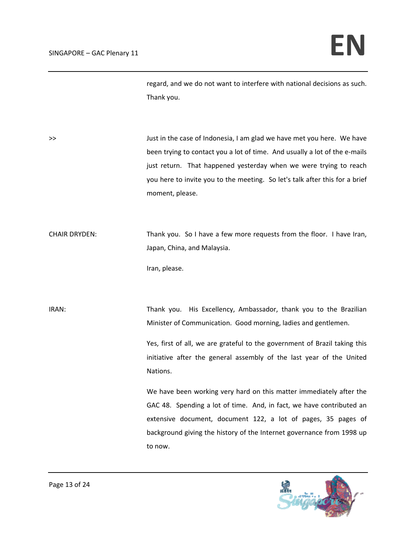regard, and we do not want to interfere with national decisions as such. Thank you.

>> Just in the case of Indonesia, I am glad we have met you here. We have been trying to contact you a lot of time. And usually a lot of the e-mails just return. That happened yesterday when we were trying to reach you here to invite you to the meeting. So let's talk after this for a brief moment, please.

CHAIR DRYDEN: Thank you. So I have a few more requests from the floor. I have Iran, Japan, China, and Malaysia.

Iran, please.

IRAN: Thank you. His Excellency, Ambassador, thank you to the Brazilian Minister of Communication. Good morning, ladies and gentlemen.

> Yes, first of all, we are grateful to the government of Brazil taking this initiative after the general assembly of the last year of the United Nations.

> We have been working very hard on this matter immediately after the GAC 48. Spending a lot of time. And, in fact, we have contributed an extensive document, document 122, a lot of pages, 35 pages of background giving the history of the Internet governance from 1998 up to now.

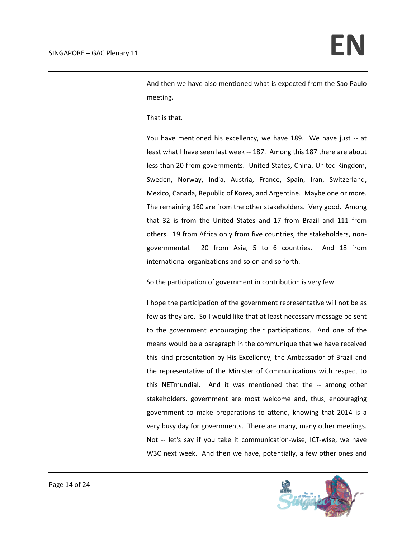And then we have also mentioned what is expected from the Sao Paulo meeting.

That is that.

You have mentioned his excellency, we have 189. We have just -- at least what I have seen last week ‐‐ 187. Among this 187 there are about less than 20 from governments. United States, China, United Kingdom, Sweden, Norway, India, Austria, France, Spain, Iran, Switzerland, Mexico, Canada, Republic of Korea, and Argentine. Maybe one or more. The remaining 160 are from the other stakeholders. Very good. Among that 32 is from the United States and 17 from Brazil and 111 from others. 19 from Africa only from five countries, the stakeholders, non‐ governmental. 20 from Asia, 5 to 6 countries. And 18 from international organizations and so on and so forth.

So the participation of government in contribution is very few.

I hope the participation of the government representative will not be as few as they are. So I would like that at least necessary message be sent to the government encouraging their participations. And one of the means would be a paragraph in the communique that we have received this kind presentation by His Excellency, the Ambassador of Brazil and the representative of the Minister of Communications with respect to this NETmundial. And it was mentioned that the -- among other stakeholders, government are most welcome and, thus, encouraging government to make preparations to attend, knowing that 2014 is a very busy day for governments. There are many, many other meetings. Not -- let's say if you take it communication-wise, ICT-wise, we have W3C next week. And then we have, potentially, a few other ones and

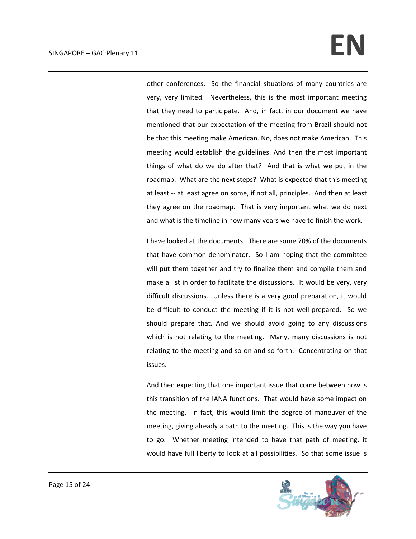## $SINGAPORE - GAC Plenary 11$

other conferences. So the financial situations of many countries are very, very limited. Nevertheless, this is the most important meeting that they need to participate. And, in fact, in our document we have mentioned that our expectation of the meeting from Brazil should not be that this meeting make American. No, does not make American. This meeting would establish the guidelines. And then the most important things of what do we do after that? And that is what we put in the roadmap. What are the next steps? What is expected that this meeting at least ‐‐ at least agree on some, if not all, principles. And then at least they agree on the roadmap. That is very important what we do next and what is the timeline in how many years we have to finish the work.

I have looked at the documents. There are some 70% of the documents that have common denominator. So I am hoping that the committee will put them together and try to finalize them and compile them and make a list in order to facilitate the discussions. It would be very, very difficult discussions. Unless there is a very good preparation, it would be difficult to conduct the meeting if it is not well-prepared. So we should prepare that. And we should avoid going to any discussions which is not relating to the meeting. Many, many discussions is not relating to the meeting and so on and so forth. Concentrating on that issues.

And then expecting that one important issue that come between now is this transition of the IANA functions. That would have some impact on the meeting. In fact, this would limit the degree of maneuver of the meeting, giving already a path to the meeting. This is the way you have to go. Whether meeting intended to have that path of meeting, it would have full liberty to look at all possibilities. So that some issue is

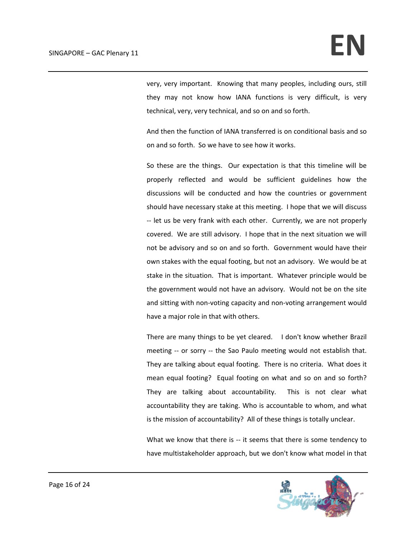very, very important. Knowing that many peoples, including ours, still they may not know how IANA functions is very difficult, is very technical, very, very technical, and so on and so forth.

And then the function of IANA transferred is on conditional basis and so on and so forth. So we have to see how it works.

So these are the things. Our expectation is that this timeline will be properly reflected and would be sufficient guidelines how the discussions will be conducted and how the countries or government should have necessary stake at this meeting. I hope that we will discuss ‐‐ let us be very frank with each other. Currently, we are not properly covered. We are still advisory. I hope that in the next situation we will not be advisory and so on and so forth. Government would have their own stakes with the equal footing, but not an advisory. We would be at stake in the situation. That is important. Whatever principle would be the government would not have an advisory. Would not be on the site and sitting with non‐voting capacity and non‐voting arrangement would have a major role in that with others.

There are many things to be yet cleared. I don't know whether Brazil meeting -- or sorry -- the Sao Paulo meeting would not establish that. They are talking about equal footing. There is no criteria. What does it mean equal footing? Equal footing on what and so on and so forth? They are talking about accountability. This is not clear what accountability they are taking. Who is accountable to whom, and what is the mission of accountability? All of these things is totally unclear.

What we know that there is -- it seems that there is some tendency to have multistakeholder approach, but we don't know what model in that

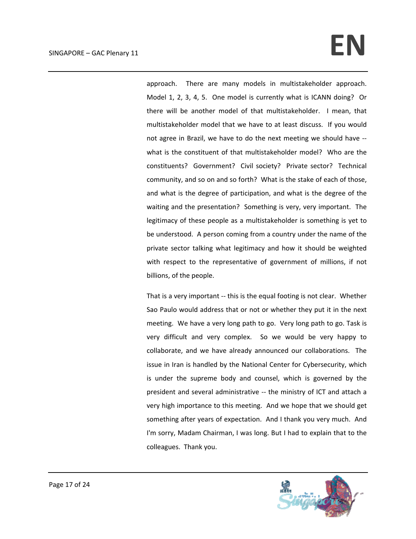## $SINGAPORE - GAC Plenary 11$

approach. There are many models in multistakeholder approach. Model 1, 2, 3, 4, 5. One model is currently what is ICANN doing? Or there will be another model of that multistakeholder. I mean, that multistakeholder model that we have to at least discuss. If you would not agree in Brazil, we have to do the next meeting we should have ‐‐ what is the constituent of that multistakeholder model? Who are the constituents? Government? Civil society? Private sector? Technical community, and so on and so forth? What is the stake of each of those, and what is the degree of participation, and what is the degree of the waiting and the presentation? Something is very, very important. The legitimacy of these people as a multistakeholder is something is yet to be understood. A person coming from a country under the name of the private sector talking what legitimacy and how it should be weighted with respect to the representative of government of millions, if not billions, of the people.

That is a very important ‐‐ this is the equal footing is not clear. Whether Sao Paulo would address that or not or whether they put it in the next meeting. We have a very long path to go. Very long path to go. Task is very difficult and very complex. So we would be very happy to collaborate, and we have already announced our collaborations. The issue in Iran is handled by the National Center for Cybersecurity, which is under the supreme body and counsel, which is governed by the president and several administrative ‐‐ the ministry of ICT and attach a very high importance to this meeting. And we hope that we should get something after years of expectation. And I thank you very much. And I'm sorry, Madam Chairman, I was long. But I had to explain that to the colleagues. Thank you.

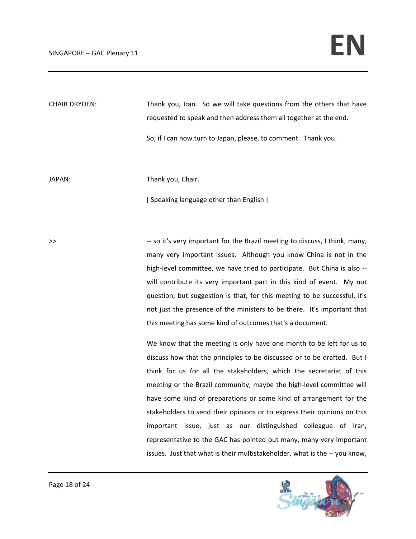CHAIR DRYDEN: Thank you, Iran. So we will take questions from the others that have requested to speak and then address them all together at the end.

So, if I can now turn to Japan, please, to comment. Thank you.

JAPAN: **Internal Contract Thank you, Chair.** 

[ Speaking language other than English ]

>> because of the Souties of the Brazil meeting to discuss, I think, many, many very important issues. Although you know China is not in the high-level committee, we have tried to participate. But China is also -will contribute its very important part in this kind of event. My not question, but suggestion is that, for this meeting to be successful, it's not just the presence of the ministers to be there. It's important that this meeting has some kind of outcomes that's a document.

> We know that the meeting is only have one month to be left for us to discuss how that the principles to be discussed or to be drafted. But I think for us for all the stakeholders, which the secretariat of this meeting or the Brazil community, maybe the high‐level committee will have some kind of preparations or some kind of arrangement for the stakeholders to send their opinions or to express their opinions on this important issue, just as our distinguished colleague of Iran, representative to the GAC has pointed out many, many very important issues. Just that what is their multistakeholder, what is the ‐‐ you know,

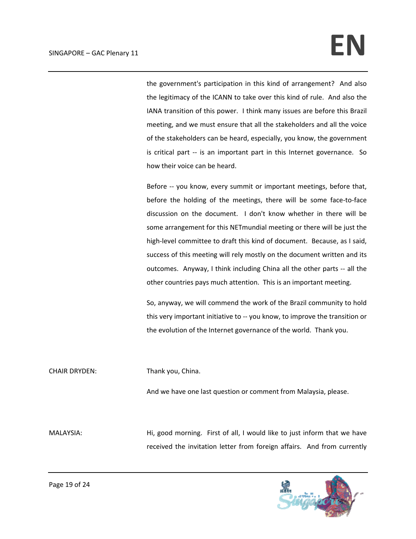the government's participation in this kind of arrangement? And also the legitimacy of the ICANN to take over this kind of rule. And also the IANA transition of this power. I think many issues are before this Brazil meeting, and we must ensure that all the stakeholders and all the voice of the stakeholders can be heard, especially, you know, the government is critical part -- is an important part in this Internet governance. So how their voice can be heard.

Before -- you know, every summit or important meetings, before that, before the holding of the meetings, there will be some face‐to‐face discussion on the document. I don't know whether in there will be some arrangement for this NETmundial meeting or there will be just the high-level committee to draft this kind of document. Because, as I said, success of this meeting will rely mostly on the document written and its outcomes. Anyway, I think including China all the other parts ‐‐ all the other countries pays much attention. This is an important meeting.

So, anyway, we will commend the work of the Brazil community to hold this very important initiative to ‐‐ you know, to improve the transition or the evolution of the Internet governance of the world. Thank you.

CHAIR DRYDEN: Thank you, China.

And we have one last question or comment from Malaysia, please.

MALAYSIA: **Hi, good morning.** First of all, I would like to just inform that we have received the invitation letter from foreign affairs. And from currently

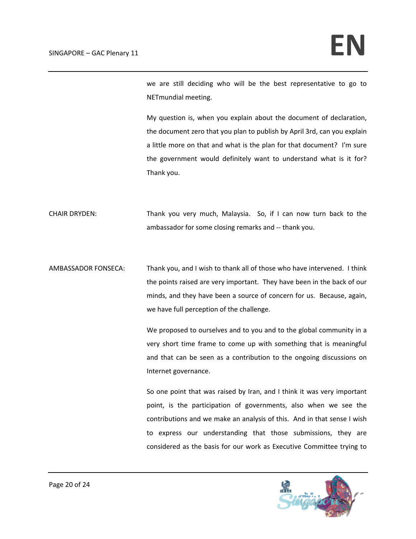we are still deciding who will be the best representative to go to NETmundial meeting.

My question is, when you explain about the document of declaration, the document zero that you plan to publish by April 3rd, can you explain a little more on that and what is the plan for that document? I'm sure the government would definitely want to understand what is it for? Thank you.

CHAIR DRYDEN: Thank you very much, Malaysia. So, if I can now turn back to the ambassador for some closing remarks and ‐‐ thank you.

AMBASSADOR FONSECA: Thank you, and I wish to thank all of those who have intervened. I think the points raised are very important. They have been in the back of our minds, and they have been a source of concern for us. Because, again, we have full perception of the challenge.

> We proposed to ourselves and to you and to the global community in a very short time frame to come up with something that is meaningful and that can be seen as a contribution to the ongoing discussions on Internet governance.

> So one point that was raised by Iran, and I think it was very important point, is the participation of governments, also when we see the contributions and we make an analysis of this. And in that sense I wish to express our understanding that those submissions, they are considered as the basis for our work as Executive Committee trying to

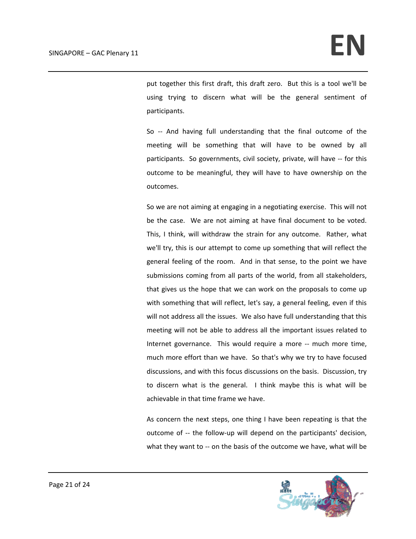put together this first draft, this draft zero. But this is a tool we'll be using trying to discern what will be the general sentiment of participants.

So -- And having full understanding that the final outcome of the meeting will be something that will have to be owned by all participants. So governments, civil society, private, will have ‐‐ for this outcome to be meaningful, they will have to have ownership on the outcomes.

So we are not aiming at engaging in a negotiating exercise. This will not be the case. We are not aiming at have final document to be voted. This, I think, will withdraw the strain for any outcome. Rather, what we'll try, this is our attempt to come up something that will reflect the general feeling of the room. And in that sense, to the point we have submissions coming from all parts of the world, from all stakeholders, that gives us the hope that we can work on the proposals to come up with something that will reflect, let's say, a general feeling, even if this will not address all the issues. We also have full understanding that this meeting will not be able to address all the important issues related to Internet governance. This would require a more -- much more time, much more effort than we have. So that's why we try to have focused discussions, and with this focus discussions on the basis. Discussion, try to discern what is the general. I think maybe this is what will be achievable in that time frame we have.

As concern the next steps, one thing I have been repeating is that the outcome of -- the follow-up will depend on the participants' decision, what they want to -- on the basis of the outcome we have, what will be

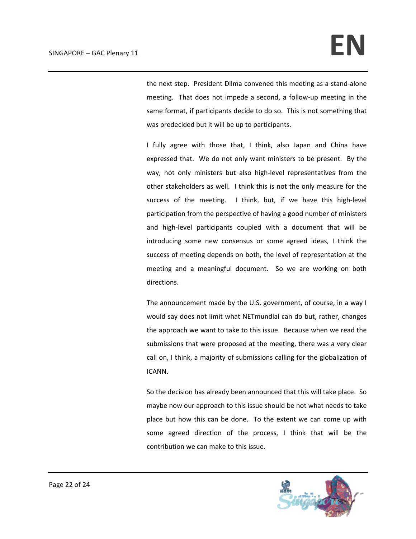the next step. President Dilma convened this meeting as a stand‐alone meeting. That does not impede a second, a follow-up meeting in the same format, if participants decide to do so. This is not something that was predecided but it will be up to participants.

I fully agree with those that, I think, also Japan and China have expressed that. We do not only want ministers to be present. By the way, not only ministers but also high-level representatives from the other stakeholders as well. I think this is not the only measure for the success of the meeting. I think, but, if we have this high-level participation from the perspective of having a good number of ministers and high-level participants coupled with a document that will be introducing some new consensus or some agreed ideas, I think the success of meeting depends on both, the level of representation at the meeting and a meaningful document. So we are working on both directions.

The announcement made by the U.S. government, of course, in a way I would say does not limit what NETmundial can do but, rather, changes the approach we want to take to this issue. Because when we read the submissions that were proposed at the meeting, there was a very clear call on, I think, a majority of submissions calling for the globalization of ICANN.

So the decision has already been announced that this will take place. So maybe now our approach to this issue should be not what needs to take place but how this can be done. To the extent we can come up with some agreed direction of the process, I think that will be the contribution we can make to this issue.

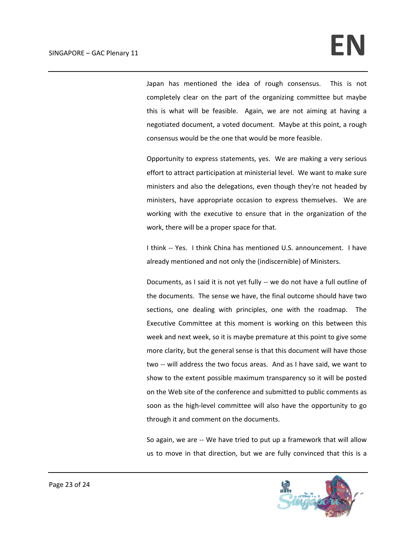Japan has mentioned the idea of rough consensus. This is not completely clear on the part of the organizing committee but maybe this is what will be feasible. Again, we are not aiming at having a negotiated document, a voted document. Maybe at this point, a rough consensus would be the one that would be more feasible.

Opportunity to express statements, yes. We are making a very serious effort to attract participation at ministerial level. We want to make sure ministers and also the delegations, even though they're not headed by ministers, have appropriate occasion to express themselves. We are working with the executive to ensure that in the organization of the work, there will be a proper space for that.

I think -- Yes. I think China has mentioned U.S. announcement. I have already mentioned and not only the (indiscernible) of Ministers.

Documents, as I said it is not yet fully ‐‐ we do not have a full outline of the documents. The sense we have, the final outcome should have two sections, one dealing with principles, one with the roadmap. The Executive Committee at this moment is working on this between this week and next week, so it is maybe premature at this point to give some more clarity, but the general sense is that this document will have those two -- will address the two focus areas. And as I have said, we want to show to the extent possible maximum transparency so it will be posted on the Web site of the conference and submitted to public comments as soon as the high-level committee will also have the opportunity to go through it and comment on the documents.

So again, we are ‐‐ We have tried to put up a framework that will allow us to move in that direction, but we are fully convinced that this is a